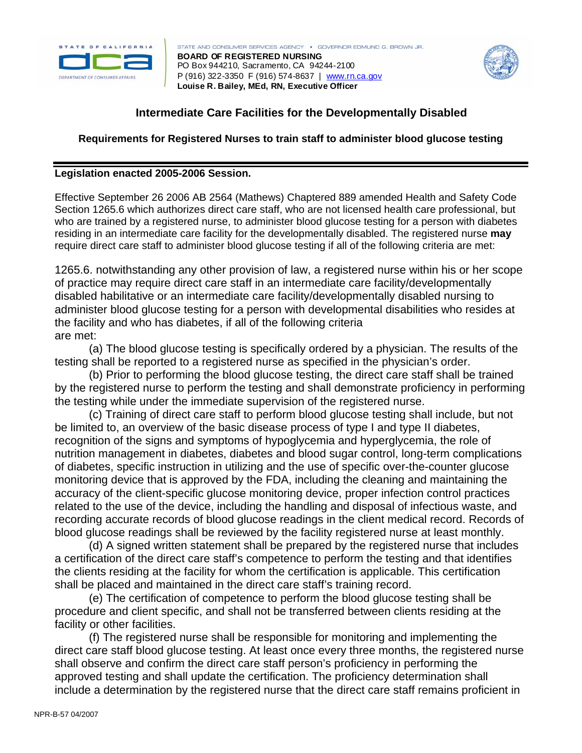

STATE AND CONSUMER SERVICES AGENCY . GOVERNOR EDMUND G. BROWN JR. **BOARD OF REGISTERED NURSING**  PO Box 944210, Sacramento, CA 94244-2100 P (916) 322-3350 F (916) 574-8637 | www.rn.ca.gov **Louise R. Bailey, MEd, RN, Executive Officer**



## **Intermediate Care Facilities for the Developmentally Disabled**

## **Requirements for Registered Nurses to train staff to administer blood glucose testing**

## **Legislation enacted 2005-2006 Session.**

Effective September 26 2006 AB 2564 (Mathews) Chaptered 889 amended Health and Safety Code Section 1265.6 which authorizes direct care staff, who are not licensed health care professional, but who are trained by a registered nurse, to administer blood glucose testing for a person with diabetes residing in an intermediate care facility for the developmentally disabled. The registered nurse **may** require direct care staff to administer blood glucose testing if all of the following criteria are met:

1265.6. notwithstanding any other provision of law, a registered nurse within his or her scope of practice may require direct care staff in an intermediate care facility/developmentally disabled habilitative or an intermediate care facility/developmentally disabled nursing to administer blood glucose testing for a person with developmental disabilities who resides at the facility and who has diabetes, if all of the following criteria are met:

(a) The blood glucose testing is specifically ordered by a physician. The results of the testing shall be reported to a registered nurse as specified in the physician's order.

(b) Prior to performing the blood glucose testing, the direct care staff shall be trained by the registered nurse to perform the testing and shall demonstrate proficiency in performing the testing while under the immediate supervision of the registered nurse.

(c) Training of direct care staff to perform blood glucose testing shall include, but not be limited to, an overview of the basic disease process of type I and type II diabetes, recognition of the signs and symptoms of hypoglycemia and hyperglycemia, the role of nutrition management in diabetes, diabetes and blood sugar control, long-term complications of diabetes, specific instruction in utilizing and the use of specific over-the-counter glucose monitoring device that is approved by the FDA, including the cleaning and maintaining the accuracy of the client-specific glucose monitoring device, proper infection control practices related to the use of the device, including the handling and disposal of infectious waste, and recording accurate records of blood glucose readings in the client medical record. Records of blood glucose readings shall be reviewed by the facility registered nurse at least monthly.

(d) A signed written statement shall be prepared by the registered nurse that includes a certification of the direct care staff's competence to perform the testing and that identifies the clients residing at the facility for whom the certification is applicable. This certification shall be placed and maintained in the direct care staff's training record.

(e) The certification of competence to perform the blood glucose testing shall be procedure and client specific, and shall not be transferred between clients residing at the facility or other facilities.

(f) The registered nurse shall be responsible for monitoring and implementing the direct care staff blood glucose testing. At least once every three months, the registered nurse shall observe and confirm the direct care staff person's proficiency in performing the approved testing and shall update the certification. The proficiency determination shall include a determination by the registered nurse that the direct care staff remains proficient in